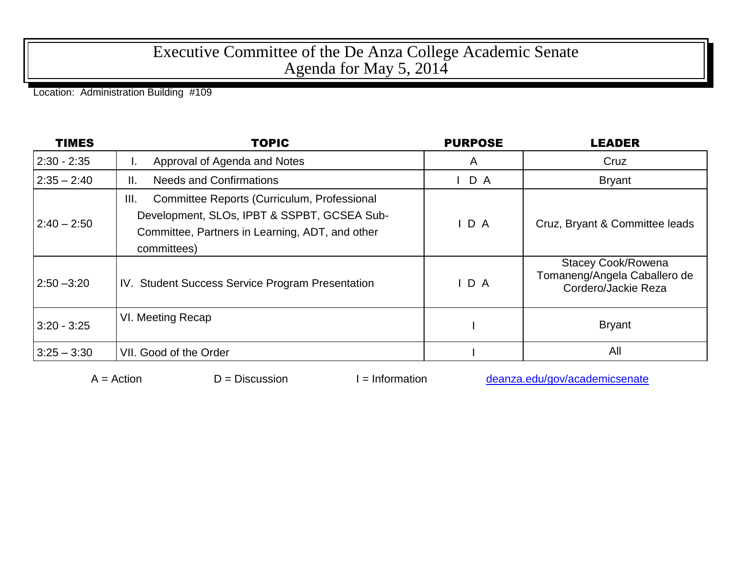## Executive Committee of the De Anza College Academic Senate Agenda for May 5, 2014

Location: Administration Building #109

| <b>TIMES</b>  | <b>TOPIC</b>                                                                                                                                                         | <b>PURPOSE</b> | <b>LEADER</b>                                                                    |
|---------------|----------------------------------------------------------------------------------------------------------------------------------------------------------------------|----------------|----------------------------------------------------------------------------------|
| $2:30 - 2:35$ | Approval of Agenda and Notes                                                                                                                                         | A              | Cruz                                                                             |
| $2:35 - 2:40$ | <b>Needs and Confirmations</b><br>Ш.                                                                                                                                 | $I$ D A        | <b>Bryant</b>                                                                    |
| $2:40 - 2:50$ | Committee Reports (Curriculum, Professional<br>III.<br>Development, SLOs, IPBT & SSPBT, GCSEA Sub-<br>Committee, Partners in Learning, ADT, and other<br>committees) | IDA            | Cruz, Bryant & Committee leads                                                   |
| $2:50 - 3:20$ | IV. Student Success Service Program Presentation                                                                                                                     | D A            | <b>Stacey Cook/Rowena</b><br>Tomaneng/Angela Caballero de<br>Cordero/Jackie Reza |
| $3:20 - 3:25$ | VI. Meeting Recap                                                                                                                                                    |                | <b>Bryant</b>                                                                    |
| $3:25 - 3:30$ | VII. Good of the Order                                                                                                                                               |                | All                                                                              |

 $A =$ Action  $D =$  Discussion I = Information [deanza.edu/gov/academicsenate](http://www.deanza.edu/gov/academicsenate)